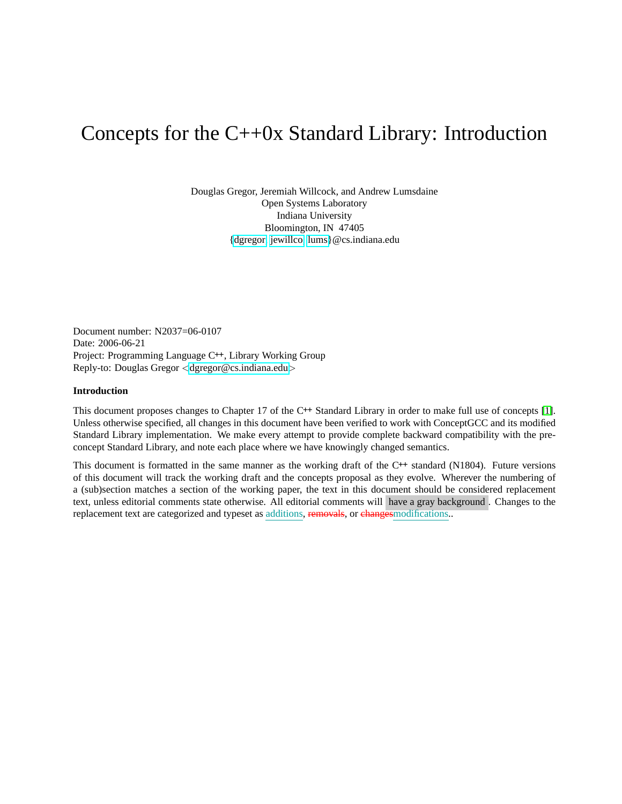## Concepts for the C++0x Standard Library: Introduction

Douglas Gregor, Jeremiah Willcock, and Andrew Lumsdaine Open Systems Laboratory Indiana University Bloomington, IN 47405 [{dgregor,](mailto:dgregor@cs.indiana.edu) [jewillco,](mailto:jewillco@cs.indiana.edu) [lums}](mailto:lums@cs.indiana.edu)@cs.indiana.edu

Document number: N2037=06-0107 Date: 2006-06-21 Project: Programming Language C**++**, Library Working Group Reply-to: Douglas Gregor <[dgregor@cs.indiana.edu](mailto:dgregor@cs.indiana.edu)>

### **Introduction**

This document proposes changes to Chapter 17 of the C**++** Standard Library in order to make full use of concepts [\[1\]](#page-4-0). Unless otherwise specified, all changes in this document have been verified to work with ConceptGCC and its modified Standard Library implementation. We make every attempt to provide complete backward compatibility with the preconcept Standard Library, and note each place where we have knowingly changed semantics.

This document is formatted in the same manner as the working draft of the C**++** standard (N1804). Future versions of this document will track the working draft and the concepts proposal as they evolve. Wherever the numbering of a (sub)section matches a section of the working paper, the text in this document should be considered replacement text, unless editorial comments state otherwise. All editorial comments will have a gray background . Changes to the replacement text are categorized and typeset as additions, removals, or changes modifications..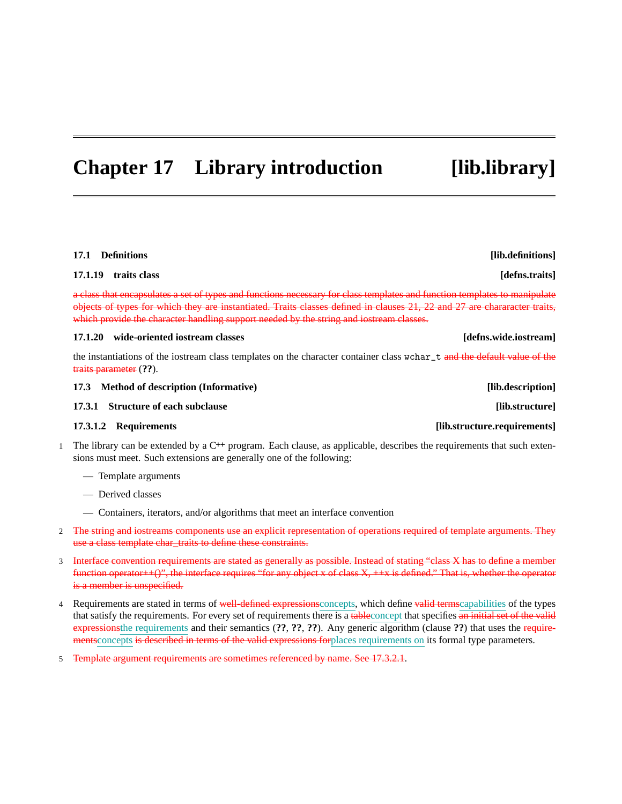# **Chapter 17 Library introduction [lib.library]**

### **17.1 Definitions [lib.definitions] 17.1.19 traits class [defns.traits]** a class that encapsulates a set of types and functions necessary for class templates and function templates to manipulate objects of types for which they are instantiated. Traits classes defined in clauses 21, 22 and 27 are chararacter traits, which provide the character handling support needed by the string and iostream classes.

### **17.1.20 wide-oriented iostream classes [defns.wide.iostream]**

the instantiations of the iostream class templates on the character container class wchar\_t and the default value of the traits parameter (**??**).

**17.3 Method of description (Informative) [lib.description] 17.3.1 Structure of each subclause [lib.structure]**

- 1 The library can be extended by a C**++** program. Each clause, as applicable, describes the requirements that such extensions must meet. Such extensions are generally one of the following:
	- Template arguments
	- Derived classes
	- Containers, iterators, and/or algorithms that meet an interface convention
- 2 The string and iostreams components use an explicit representation of operations required of template arguments. They use a class template char traits to define these constraints.
- 3 Interface convention requirements are stated as generally as possible. Instead of stating "class X has to define a member function operator++()", the interface requires "for any object x of class X, ++x is defined." That is, whether the operator is a member is unspecified.
- 4 Requirements are stated in terms of well-defined expressions concepts, which define valid terms capabilities of the types that satisfy the requirements. For every set of requirements there is a tableconcept that specifies an initial set of the valid expressionsthe requirements and their semantics (**??**, **??**, **??**). Any generic algorithm (clause **??**) that uses the requirementsconcepts is described in terms of the valid expressions for places requirements on its formal type parameters.

5 Template argument requirements are sometimes referenced by name. See 17.3.2.1.

**17.3.1.2 Requirements [lib.structure.requirements]**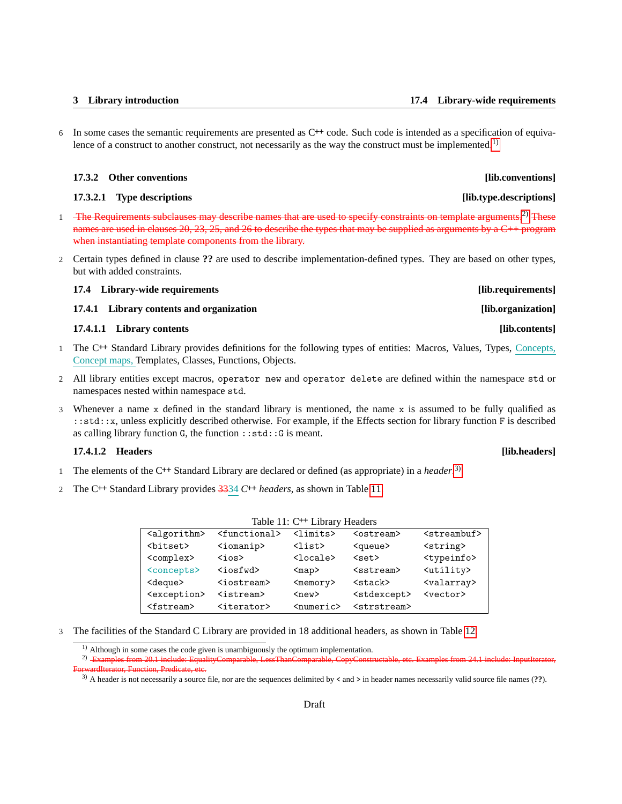6 In some cases the semantic requirements are presented as C**++** code. Such code is intended as a specification of equiva-lence of a construct to another construct, not necessarily as the way the construct must be implemented.<sup>[1\)](#page-2-0)</sup>

### **17.3.2 Other conventions [lib.conventions]**

### **17.3.2.1** Type descriptions **in the example of the example of the example of the example of the example of the example of the example of the example of the example of the example of the example of the example of the examp**

- 1 The Requirements subclauses may describe names that are used to specify constraints on template arguments.<sup>[2\)](#page-2-1)</sup> These names are used in clauses 20, 23, 25, and 26 to describe the types that may be supplied as arguments by a C++ program when instantiating template components from the library.
- 2 Certain types defined in clause **??** are used to describe implementation-defined types. They are based on other types, but with added constraints.

| 17.4 Library-wide requirements           | [lib.requirements] |
|------------------------------------------|--------------------|
| 17.4.1 Library contents and organization | [lib.organization] |
| 17.4.1.1 Library contents                | [lib.contents]     |

- 1 The C**++** Standard Library provides definitions for the following types of entities: Macros, Values, Types, Concepts, Concept maps, Templates, Classes, Functions, Objects.
- 2 All library entities except macros, operator new and operator delete are defined within the namespace std or namespaces nested within namespace std.
- 3 Whenever a name x defined in the standard library is mentioned, the name x is assumed to be fully qualified as ::std::x, unless explicitly described otherwise. For example, if the Effects section for library function F is described as calling library function G, the function ::std::G is meant.

### **17.4.1.2 Headers [lib.headers]**

- 1 The elements of the C**++** Standard Library are declared or defined (as appropriate) in a *header*. [3\)](#page-2-2)
- 2 The C**++** Standard Library provides 3334 *C++ headers*, as shown in Table [11.](#page-2-3)

<span id="page-2-3"></span>

| <algorithm></algorithm> | <functional></functional>   | <limits></limits>            | <ostream></ostream>     | <streambuf></streambuf> |
|-------------------------|-----------------------------|------------------------------|-------------------------|-------------------------|
| <bitset></bitset>       | $\langle$ iomanip $\rangle$ | $\langle$ list $\rangle$     | <queue></queue>         | <string></string>       |
| <complex></complex>     | $\langle$ ios $\rangle$     | $\langle$ locale $\rangle$   | $<$ set $>$             | <typeinfo></typeinfo>   |
| <concepts></concepts>   | $\langle$ iosfwd $\rangle$  | $map$                        | <sstream></sstream>     | <utility></utility>     |
| <deque></deque>         | <iostream></iostream>       | <memory></memory>            | <stack></stack>         | <valarray></valarray>   |
| <exception></exception> | <istream></istream>         | $new$                        | <stdexcept></stdexcept> | <vector></vector>       |
| <fstream></fstream>     | <iterator></iterator>       | $\langle$ numeri $c \rangle$ | <strstream></strstream> |                         |

3 The facilities of the Standard C Library are provided in 18 additional headers, as shown in Table [12.](#page-3-0)

<span id="page-2-0"></span><sup>1)</sup> Although in some cases the code given is unambiguously the optimum implementation.

<span id="page-2-1"></span> $2)$  Examples from 20.1 include: Equality wardIterator, Function, Predicate, etc.

<span id="page-2-2"></span><sup>3)</sup> A header is not necessarily a source file, nor are the sequences delimited by < and > in header names necessarily valid source file names (**??**).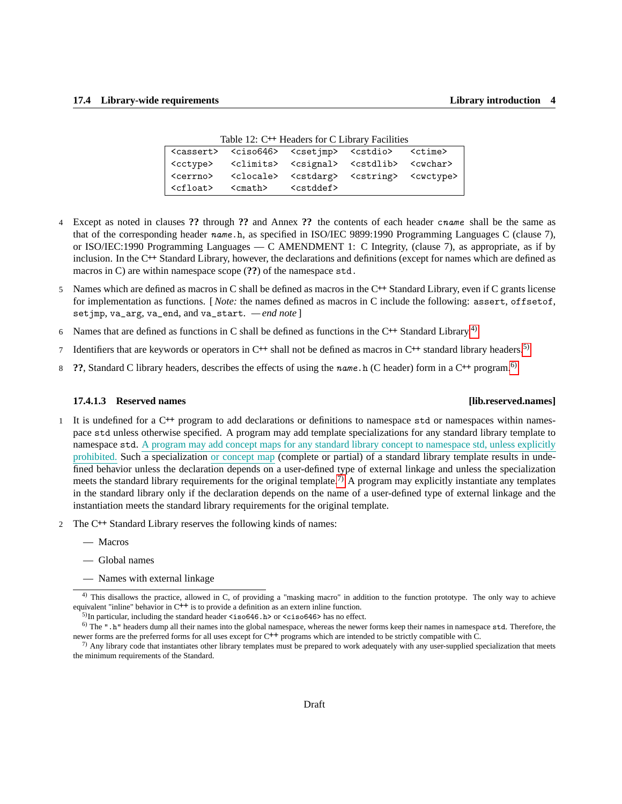| Table 12. C. Theaders for C Library Pacificos |                                                                                                 |                     |  |  |  |  |  |
|-----------------------------------------------|-------------------------------------------------------------------------------------------------|---------------------|--|--|--|--|--|
|                                               | <cassert> <ciso646> <csetjmp> <cstdio> <ctime></ctime></cstdio></csetjmp></ciso646></cassert>   |                     |  |  |  |  |  |
|                                               | <cctype> <climits> <csignal> <cstdlib> <cwchar></cwchar></cstdlib></csignal></climits></cctype> |                     |  |  |  |  |  |
| <cerrno></cerrno>                             | <clocale> <cstdarg> <cstring> <cwctype></cwctype></cstring></cstdarg></clocale>                 |                     |  |  |  |  |  |
| $\langle cf$ loat $\rangle$                   | <cmath></cmath>                                                                                 | <cstddef></cstddef> |  |  |  |  |  |

<span id="page-3-0"></span>Table 12: C**++** Headers for C Library Facilities

- 4 Except as noted in clauses **??** through **??** and Annex **??** the contents of each header cname shall be the same as that of the corresponding header name.h, as specified in ISO/IEC 9899:1990 Programming Languages C (clause 7), or ISO/IEC:1990 Programming Languages  $-$  C AMENDMENT 1: C Integrity, (clause 7), as appropriate, as if by inclusion. In the C**++** Standard Library, however, the declarations and definitions (except for names which are defined as macros in C) are within namespace scope (**??**) of the namespace std.
- 5 Names which are defined as macros in C shall be defined as macros in the C**++** Standard Library, even if C grants license for implementation as functions. [ *Note:* the names defined as macros in C include the following: assert, offsetof, setjmp, va\_arg, va\_end, and va\_start. *— end note* ]
- <sup>6</sup> Names that are defined as functions in C shall be defined as functions in the C**++** Standard Library.[4\)](#page-3-1)
- <sup>7</sup> Identifiers that are keywords or operators in C**++** shall not be defined as macros in C**++** standard library headers.[5\)](#page-3-2)
- <sup>8</sup> **??**, Standard C library headers, describes the effects of using the name.h (C header) form in a C**++** program.[6\)](#page-3-3)

### **17.4.1.3 Reserved names [lib.reserved.names]**

- 1 It is undefined for a C**++** program to add declarations or definitions to namespace std or namespaces within namespace std unless otherwise specified. A program may add template specializations for any standard library template to namespace std. A program may add concept maps for any standard library concept to namespace std, unless explicitly prohibited. Such a specialization or concept map (complete or partial) of a standard library template results in undefined behavior unless the declaration depends on a user-defined type of external linkage and unless the specialization meets the standard library requirements for the original template.<sup>[7\)](#page-3-4)</sup> A program may explicitly instantiate any templates in the standard library only if the declaration depends on the name of a user-defined type of external linkage and the instantiation meets the standard library requirements for the original template.
- 2 The C**++** Standard Library reserves the following kinds of names:
	- Macros
	- Global names
	- Names with external linkage

<span id="page-3-1"></span><sup>&</sup>lt;sup>4)</sup> This disallows the practice, allowed in C, of providing a "masking macro" in addition to the function prototype. The only way to achieve equivalent "inline" behavior in C**++** is to provide a definition as an extern inline function.

<span id="page-3-3"></span><span id="page-3-2"></span><sup>&</sup>lt;sup>5)</sup>In particular, including the standard header  $\langle$  iso646.h> or  $\langle$  ciso646> has no effect.

<sup>6)</sup> The ".h" headers dump all their names into the global namespace, whereas the newer forms keep their names in namespace std. Therefore, the newer forms are the preferred forms for all uses except for C**++** programs which are intended to be strictly compatible with C.

<span id="page-3-4"></span> $<sup>7</sup>$  Any library code that instantiates other library templates must be prepared to work adequately with any user-supplied specialization that meets</sup> the minimum requirements of the Standard.